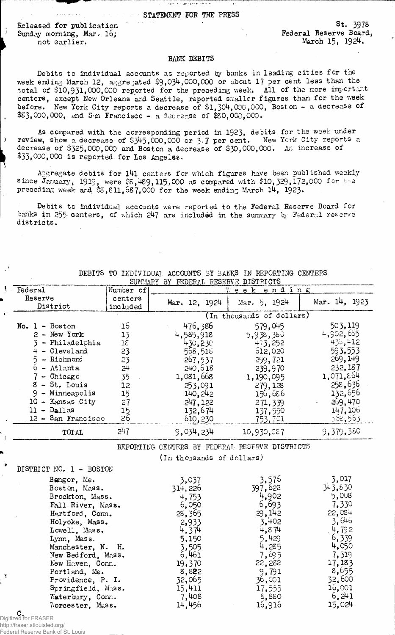## STATEMENT FOR THE PRESS

والمستحقق والمستحقق والمتعارف المتوادة

Released for publication Sunday morning, Mar. 16; not earlier.

- í

 $\overline{)}$ 

1

أوالوالين المتعالي

S t. 397s Federal Reserve Board, March 15, 1924.

## BANK DEBITS

Debits to individual accounts as reported by banks in leading cities for the week ending March 12, aggregated  $$9,034,000,000$  or about 17 per cent less than the total of \$10,931,000,000 reported for the preceding week. All of the more importunit centers, except New Orleans and Seattle, reported smaller figures than for the week before. New York City reports a decrease of \$1,304,000,000, Boston - a decrease of \$83,000,000, end Sm Francisco - a decrease of \$80,000,000.

As compared with the corresponding period in 1923, debits for the week under review, show a decrease of \$345,000,000 or 3.7 per cent. New Ycrk City reports a decrease of \$325,000,000 and Boston a decrease of \$30,000,000. An increase of \$33,000,000 is reported for Los Angeles.

Aggregate debits for  $141$  centers for which figures have been published weekly since January, 1919, were  $$5,489,115,000$  as compared with  $\$10,529, 172,000$  for the preceding week and  $\&$ ,811,687,000 for the week ending March 14, 1923.

Debits to individual accounts were reported to the Federal Reserve Board for banks in 255 centers, of which 247 are included in the summary by Federal reserve districts.

|                         |                   | SUMMARY BY FEDERAL RESERVE DISTRICTS           |                           |               |
|-------------------------|-------------------|------------------------------------------------|---------------------------|---------------|
| Federal                 | Number of         |                                                | ending<br>$V$ e e $k$     |               |
| Reserve                 | centers           | Mar. 12, 1924                                  | Mar. 5, 1924              | Mar. 14, 1923 |
| District                | included          |                                                |                           |               |
|                         |                   |                                                | (In thousards of dollars) |               |
| $No. 1 - Boston$        | 16                | 476,386                                        | 579,045                   | 503,119       |
| 2 - New York            | 13                | 4,585,918                                      | 5,938,380                 | 4,902,665     |
| 3 - Philadelphia        | $1\bar{c}$        | 430,230                                        | 473,252                   | 435,412       |
| 4 - Cleveland           | 23                | 568,518                                        | 612,020                   | 593,553       |
| 5 - Richmond            | 23                | 267,537                                        | 299,721                   | 269,149       |
| $6 -$ Atlanta           | 24                | 240,618                                        | 239,970                   | 232,187       |
| 7 - Chicago             | 35                | 1,081,668                                      | 1,190,095                 | 1,071,864     |
| $8 - St.$ Louis         | 12                | 253,091                                        | 279,128                   | 258,636       |
| $9 -$ Minneapolis       | 15                | 140, 242                                       | 156,686                   | 132,656       |
| 10 - Kansas City        | 27                | 247,122                                        | 271,339                   | 269,470       |
| $11 - D$ allas          |                   | 132,674                                        | 137,550                   | 147,106       |
| 12 - San Francisco      | $\frac{15}{26}$   | 610,230                                        | 753,701                   | 562,563       |
| TOTAL                   | 247               | 9,034,234                                      | 10,930,887                | 9,379,380     |
|                         |                   | REPORTING CENTERS BY FEDERAL RESERVE DISTRICTS |                           |               |
|                         |                   | (In thousands of dollars)                      |                           |               |
|                         |                   |                                                |                           |               |
| DISTRICT NO. 1 - BOSTON |                   |                                                |                           |               |
| Bangor, Me.             |                   | 3,037                                          | 3,576                     | 3,017         |
| Boston, Mass.           |                   | 314, 226                                       | 397,622                   | 343,830       |
| Brockton, Mass.         |                   | 4,753                                          | 4,902                     | 5,008         |
| Fall River, Mass.       |                   | 6,050                                          | 6,693                     | 7,330         |
| Hartford, Conn.         |                   | 25,365                                         | 29,142                    | 22,084        |
| Holyoke, Mass.          |                   | 2,933                                          | 3.402                     | 3,646         |
| Lowell, Mass.           |                   | 4,374                                          | 4,874                     | 4,792         |
| Lynn, Mass.             |                   | 5,150                                          | 5,429                     | 6,339         |
| Manchester, N. H.       |                   | 3,505                                          | 4,285                     | 4,050         |
| New Bedford, Mass.      |                   | 6,461                                          | 7,695                     | 7,319         |
| New Haven, Conn.        |                   | 19,370                                         | 22,282                    | 17,183        |
| Portland, Me.           |                   | 8,822<br>32,065                                | 9,791                     | 8,655         |
|                         | Providence, R. I. |                                                | 36,001                    | 32,600        |
| Springfield, Mass.      |                   | 15,411                                         | 17,555                    | 16,001        |
| Waterbury, Conn.        |                   | 7,408                                          | 8,880                     | 6,241         |
| Worcester, Mass.        |                   | 14,456                                         | 16,916                    | 15,024        |
| C.                      |                   |                                                |                           |               |

DEBITS TO INDIVIDUAL ACCOUNTS 3Y BANKS IN REPORTING CENTERS

C. Digitized for FRASER http://fraser.stlouisfed.org/

 $\mathbf{v}$ 

Federal Reserve Bank of St. Louis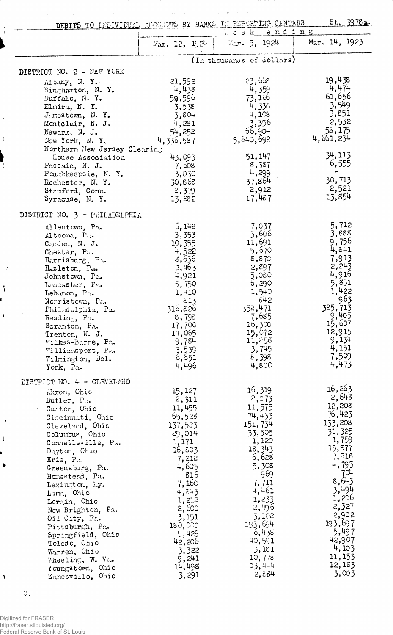$\sim 10^4$ DEBITS TO INDIVIDUAL ACCOUNTS BY BANKS IN REPORTING- CENTERS \_\_\_\_\_\_ St. 39\_78.a.

 $\sim$  .  $\sim$ 

 $\bar{\psi}$ 

 $\big)$ 

 $\overline{A}$ 

 $\mathcal{L}_{\mathcal{A}}$ 

 $\mathbf{\hat{i}}$ 

l,

 $\mathfrak{t}$ 

 $\ddot{\bullet}$ 

 $\lambda$ 

 $\langle \psi \rangle$  ,  $\langle \psi \rangle$ 

 $\bar{\beta}$ 

| <b>DEBITO</b> TO THAT AT AGEN                                                                                                                                                                                                                                                                                                                                                                                                                       |                                                                                                                                                                                                                      | ending<br>$V$ e e $k$                                                                                                                                                                                                  |                                                                                                                                                                                                                        |
|-----------------------------------------------------------------------------------------------------------------------------------------------------------------------------------------------------------------------------------------------------------------------------------------------------------------------------------------------------------------------------------------------------------------------------------------------------|----------------------------------------------------------------------------------------------------------------------------------------------------------------------------------------------------------------------|------------------------------------------------------------------------------------------------------------------------------------------------------------------------------------------------------------------------|------------------------------------------------------------------------------------------------------------------------------------------------------------------------------------------------------------------------|
|                                                                                                                                                                                                                                                                                                                                                                                                                                                     | Mar. $12, 1924$                                                                                                                                                                                                      | Mar. 5, 1924                                                                                                                                                                                                           | Mar. $14, 1923$                                                                                                                                                                                                        |
|                                                                                                                                                                                                                                                                                                                                                                                                                                                     |                                                                                                                                                                                                                      | (In thousands of dollars)                                                                                                                                                                                              |                                                                                                                                                                                                                        |
| DISTRICT NO. 2 - NEW YORK                                                                                                                                                                                                                                                                                                                                                                                                                           |                                                                                                                                                                                                                      |                                                                                                                                                                                                                        |                                                                                                                                                                                                                        |
| Albany, N.Y.<br>Binghamton, N.Y.<br>Buffalo, N. Y.<br>Elmira, N. Y.<br>Jamestown, N.Y.<br>Montclair, N. J.<br>Newark, N. J.<br>New York, N.Y.                                                                                                                                                                                                                                                                                                       | 21,592<br>4,438<br>59,596<br>3,538<br>3,804<br>4,281<br>54,252<br>4,336,587                                                                                                                                          | 23,668<br>4,359<br>73,166<br>4,330<br>4,108<br>3,356<br>66,904<br>5,640,692                                                                                                                                            | 19,438<br>4,474<br>61,656<br>3,549<br>3,851<br>2,532<br>58,175<br>4,661,234                                                                                                                                            |
| Northern New Jersey Clearing                                                                                                                                                                                                                                                                                                                                                                                                                        |                                                                                                                                                                                                                      |                                                                                                                                                                                                                        | 34,113                                                                                                                                                                                                                 |
| House Association<br>Passaic, N. J.<br>Poughkeepsie, N.Y.<br>Rochester, N.Y.<br>Stamford, Conn.<br>Syracuse, N.Y.                                                                                                                                                                                                                                                                                                                                   | 43,093<br>7,008<br>3,030<br>30,868<br>2,379<br>13,882                                                                                                                                                                | 51, 147<br>8,387<br>4,299<br>37,864<br>2,912<br>17,487                                                                                                                                                                 | 6,555<br>30,713<br>2,521<br>13,854                                                                                                                                                                                     |
| DISTRICT NO. 3 - PHILADELPHIA                                                                                                                                                                                                                                                                                                                                                                                                                       |                                                                                                                                                                                                                      |                                                                                                                                                                                                                        |                                                                                                                                                                                                                        |
| Allentown, Pa.<br>Altoona, Pa.<br>Comden, N. J.<br>Chester, Pa.<br>Harrisburg, Pa.<br>Hazleton, Pa.<br>Johnstown, Pa.<br>Lancaster, Pa.<br>Lebanon, Pa.<br>Norristown, Pa.<br>Philadelphia, Pa.<br>Reading, Pa.<br>Scranton, Pa.<br>Trenton, N. J.<br>Wilkes-Barre, Pa.<br>Williamsport, Pa.<br>Wilmington, Del.<br>York, Pa.                                                                                                                       | 6,148<br>3,353<br>10,355<br>4,522<br>8,636<br>2,463<br>4,921<br>5,750<br>1,410<br>813<br>316,826<br>8,795<br>17,700<br>14,065<br>9,784<br>3,539<br>6,651<br>4,496                                                    | 7,037<br>3,606<br>11,691<br>5,670<br>8,870<br>2,897<br>5,080<br>6,290<br>1,540<br>842<br>352,471<br>7,685<br>16,300<br>15,072<br>11,258<br>3,745<br>8,398<br>4,80C                                                     | 5,712<br>3,888<br>9,756<br>4,841<br>7,913<br>2,243<br>4,916<br>5,851<br>1,422<br>963<br>325,713<br>9,405<br>15,607<br>12,915<br>9,134<br>4,151<br>7,509<br>4,473                                                       |
| DISTRICT NO. 4 - CLEVELAND<br>Akron, Ohio<br>Butler, Pa.<br>Canton, Ohio<br>Cincinnati, Ohio<br>Cleveland, Ohio<br>Columbus, Ohio<br>Connellsville, Pa.<br>Dayton, Ohio<br>Erie, Pa.<br>Greensburg, Pa.<br>Homestead, Pa.<br>Lexington, Ky.<br>Lima, Ohio<br>Lorain, Ohio<br>New Brighton, Pa.<br>Oil City, Pa.<br>Pittsburgh, Pa.<br>Springfield, Ohio<br>Toledo, Ohio<br>Warren, Ohio<br>Wheeling, W. Va.<br>Youngstown, Ohio<br>Zanesville, Ohio | 15,127<br>2,311<br>11,455<br>65,528<br>137,523<br>29,014<br>1,171<br>16,803<br>7,212<br>4,605<br>816<br>7,160<br>4,843<br>1,212<br>2,600<br>3,151<br>180,000<br>5,429<br>42,206<br>3,322<br>9,241<br>14,498<br>3,291 | 16,319<br>2,073<br>11,575<br>74,433<br>151,734<br>33,505<br>1,120<br>18, 343<br>6,628<br>5,308<br>969<br>7,711<br>4,461<br>1,233<br>2,496<br>3,102<br>193,694<br>6,435<br>40,591<br>3,181<br>10,778<br>13,444<br>2,884 | 16,263<br>2,648<br>12,208<br>76,423<br>133,208<br>31,325<br>1,759<br>15,877<br>7,218<br>4,795<br>704<br>8,643<br>3,494<br>1,216<br>2,327<br>2,902<br>193,697<br>5,497<br>42,907<br>4,103<br>11, 153<br>12,183<br>3,003 |

**C,**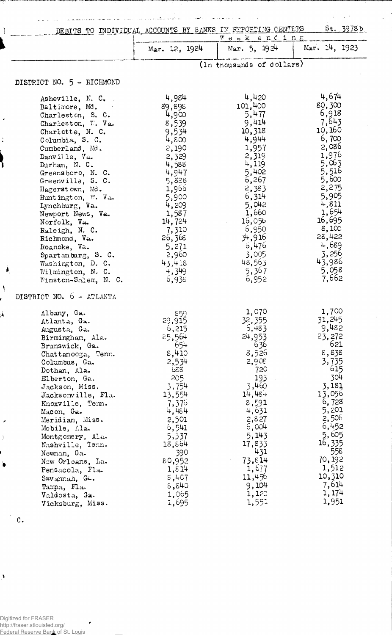|                                                                                                                                                                                                                                                                                                                                                                                                                                                                     | St. 3978b<br>DEBITS TO INDIVIDUAL ACCOUNTS BY BANKS IN FEPOPTING CENTERS<br>Week ending                                                                                                                         |                                                                                                                                                                                                                       |                                                                                                                                                                                                                    |  |  |
|---------------------------------------------------------------------------------------------------------------------------------------------------------------------------------------------------------------------------------------------------------------------------------------------------------------------------------------------------------------------------------------------------------------------------------------------------------------------|-----------------------------------------------------------------------------------------------------------------------------------------------------------------------------------------------------------------|-----------------------------------------------------------------------------------------------------------------------------------------------------------------------------------------------------------------------|--------------------------------------------------------------------------------------------------------------------------------------------------------------------------------------------------------------------|--|--|
|                                                                                                                                                                                                                                                                                                                                                                                                                                                                     | Mar. 12, 1924                                                                                                                                                                                                   | Mar, 5, 1924                                                                                                                                                                                                          | Mar. 14, 1923                                                                                                                                                                                                      |  |  |
|                                                                                                                                                                                                                                                                                                                                                                                                                                                                     | (In thousands of dollars)                                                                                                                                                                                       |                                                                                                                                                                                                                       |                                                                                                                                                                                                                    |  |  |
| DISTRICT NO. 5 - RICHMOND                                                                                                                                                                                                                                                                                                                                                                                                                                           |                                                                                                                                                                                                                 |                                                                                                                                                                                                                       |                                                                                                                                                                                                                    |  |  |
| Asheville, N. C.<br>Baltimore, Md.<br>Charleston, S. C.<br>Charleston, V. Va.<br>Charlotte, N. C.<br>Columbia, S. C.<br>Cumberland, Md.<br>Danville, Va.<br>Durham, N. C.<br>Greensboro, N. C.<br>Greenville, S. C.<br>Hagerstown, Md.<br>Huntington, W. Va.<br>Lynchburg, Va.<br>Newport News, Va.<br>Norfolk, Va.<br>Raleigh, N. C.<br>Richmond, Va.<br>Roanoke, Va.<br>Spartanburg, S. C.<br>Washington, D. C.<br>Ä<br>Wilmington, N. C.<br>Winston-Salem, N. C. | 4,984<br>89,898<br>4,900<br>8,539<br>9,534<br>4,800<br>2,190<br>2,329<br>4,588<br>4,947<br>5,828<br>1,966<br>5,900<br>4,209<br>1,587<br>14,724<br>7,310<br>26,368<br>5,271<br>2,960<br>43,418<br>4,349<br>6,938 | 4,420<br>101,400<br>5,477<br>9,414<br>10,318<br>4,944<br>1,957<br>2,319<br>4,119<br>5,402<br>$6,267$ .<br>2,383<br>6,314<br>5,042<br>1,660<br>16,056<br>6,950<br>34,916<br>6,476<br>3,005<br>48,563<br>5,367<br>6,952 | 4,674<br>80,300<br>6,918<br>7,643<br>10,160<br>6,700<br>2,086<br>1,976<br>5,063<br>5,516<br>5,600<br>2,275<br>5,905<br>4,811<br>1,654<br>16,695<br>8,100<br>28,422<br>4,689<br>3,256<br>43,986<br>5,058<br>7,662   |  |  |
| DISTRICT NO. 6 - ATLANTA                                                                                                                                                                                                                                                                                                                                                                                                                                            |                                                                                                                                                                                                                 |                                                                                                                                                                                                                       |                                                                                                                                                                                                                    |  |  |
| Albany, Ga.<br>Atlanta, Ga.<br>Augusta, Ga.<br>Birmingham, Ala.<br>Brunswick, Ga.<br>Chattanooga, Tenn.<br>Columbus, Ga.<br>Dothan, Ala.<br>Elberton, Ga.<br>Jackson, Miss.<br>Jacksonville, Fla.<br>Knoxville, Tenn.<br>Macon, Ga.<br>Meridian, Miss.<br>Mobile, Ala.<br>Montgomery, Ala.<br>Nashville, Tenn.<br>Newnan, Ga.<br>New Orleans, La.<br>Pensacola, Fla.<br>Savannah, Ga.<br>Tampa, Fla.<br>Valdosta, Ga.<br>Vicksburg, Miss.                           | 859<br>29,915<br>6,215<br>25,564<br>654<br>8,410<br>2,534<br>688<br>205<br>3,754<br>13,554<br>7,376<br>4,484<br>2,501<br>6,541<br>5,337<br>18,864<br>390<br>80,952<br>1,814<br>5,407<br>5,840<br>1,065<br>1,695 | 1,070<br>32,355<br>6,483<br>24,953<br>636<br>8,526<br>2,908<br>720<br>193<br>3,460<br>14,484<br>8,591<br>4,631<br>2,827<br>6,004<br>5,143<br>17,833<br>431<br>73,814<br>1,677<br>11,456<br>9,104<br>1,120<br>1,551    | 1,700<br>31,245<br>9,482<br>23,272<br>621<br>8,838<br>3,735<br>615<br>304<br>3,181<br>13,056<br>6,728<br>5,201<br>2,506<br>6,452<br>5,605<br>16,335<br>558<br>70,192<br>1,512<br>10,310<br>7,614<br>1,174<br>1,951 |  |  |

والأصود

 $\omega_{\rm{max}}$ 

المائمة

 $\sim$ 

 $\mathbb{Z}^{d-1}$  $\ddot{\cdot}$ 

 $\ddot{\phantom{0}}$ 

c.

 $\hat{\boldsymbol{\theta}}$ 

 $\lambda$ 

 $\frac{1}{2}$ 

١

Ä,

Digitized for FRASER ٠ http://fraser.stlouisfed.org/ Federal Reserve Bank of St. Louis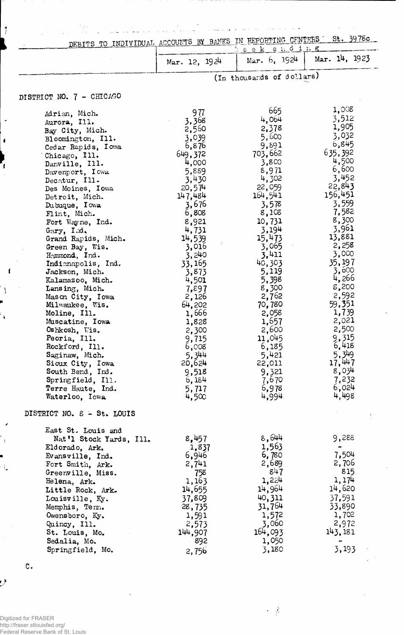| and the company of the company of the<br>العرابات المنافعة المنتقلة فيستنبط فتحالة ومستسمع وبالتساب ومراود ولاستنبط ستستسم والمسويات المراباتي |                                                       |                           |                                |
|------------------------------------------------------------------------------------------------------------------------------------------------|-------------------------------------------------------|---------------------------|--------------------------------|
| TO.                                                                                                                                            | INDIVIDUAL ACCOUNTS BY BANKS IN REPORTING CENTERS St. |                           | 3978c                          |
|                                                                                                                                                | Mar. 12, 1924                                         | eek ending                | Mar. 6, $1924$   Mar. 14, 1923 |
|                                                                                                                                                |                                                       | (In thousands of dollars) |                                |

## DISTRICT NO. 7 - CHICAGO

 $\vert$   $\vert$ 

 $\ddot{\phantom{0}}$ 

 $\pmb{i}$ 

Ì

 $\mathbf{I}$ 

 $\backslash$ 

 $\mathbf{r}$ 

 $\overline{\phantom{a}}$ 

 $\mathcal{A}$ 

 $\mathcal{F}$ 

| Adrian, Mich.<br>Aurora, Ill.<br>Bay City, Mich.<br>Bloomington, Ill.<br>Cedar Rapids, Iowa<br>Chicago, Ill.<br>Danville, Ill.<br>Davemport, Iowa<br>Decatur, Ill.<br>Des Moines, Iowa<br>Detroit, Mich.<br>Dubuque, Iowa<br>Flint, Mich.<br>Fort Wayne, Ind.<br>Gary, Ind.<br>Grand Rapids, Mich.<br>Green Bay, Wis.<br>Hammond, Ind.<br>Indianapolis, Ind.<br>Jackson, Mich.<br>Kalamazoo, Mich.<br>Lansing, Mich.<br>Mason City, Iowa<br>Milwaukee, Wis.<br>Moline, Ill.<br>Muscatine, Iowa<br>Oshkosh, Wis.<br>Peoria, Ill.<br>Rockford, Ill.<br>Saginaw, Mich.<br>Sioux City, Iowa<br>South Bend, Ind. | 977<br>3,368<br>2,560<br>3,039<br>6,876<br>649,372<br>4,000<br>5,889<br>3,430<br>20,574<br>147,484<br>3,676<br>6,808<br>8,921<br>4,731<br>14,539<br>3,016<br>3,240<br>33,165<br>3,873<br>4,501<br>7,897<br>2,126<br>64,202<br>1,666<br>1,828<br>2,300<br>9,715<br>6,008<br>5,344<br>20,624<br>9,518 | 665<br>4,064<br>2,378<br>5,600<br>9,891<br>703,662<br>3,800<br>8,971<br>4,302<br>22,059<br>164,541<br>3,578<br>8,108<br>10,731<br>3,194<br>15,473<br>3,065<br>3,411<br>40,303<br>5,119<br>5,398<br>8,300<br>2,762<br>70,780<br>2,058<br>1,657<br>2,600<br>11,045<br>6,185<br>5,421<br>22,011<br>9,321 | 1,008<br>3,512<br>1,905<br>3,032<br>6,845<br>635,392<br>4,500<br>6,600<br>3,452<br>22,843<br>156,451<br>3,559<br>7,582<br>8,300<br>3,961<br>13,881<br>2,258<br>3,000<br>35,197<br>3,600<br>4,266<br>8,200<br>2,592<br>59,351<br>1,739<br>2,021<br>2,500<br>9,315<br>6,418<br>5,349<br>17, 447<br>8,034 |
|-------------------------------------------------------------------------------------------------------------------------------------------------------------------------------------------------------------------------------------------------------------------------------------------------------------------------------------------------------------------------------------------------------------------------------------------------------------------------------------------------------------------------------------------------------------------------------------------------------------|-----------------------------------------------------------------------------------------------------------------------------------------------------------------------------------------------------------------------------------------------------------------------------------------------------|-------------------------------------------------------------------------------------------------------------------------------------------------------------------------------------------------------------------------------------------------------------------------------------------------------|--------------------------------------------------------------------------------------------------------------------------------------------------------------------------------------------------------------------------------------------------------------------------------------------------------|
| Springfield, Ill.                                                                                                                                                                                                                                                                                                                                                                                                                                                                                                                                                                                           | 6,184                                                                                                                                                                                                                                                                                               | 7,670                                                                                                                                                                                                                                                                                                 | 7,232                                                                                                                                                                                                                                                                                                  |
| Terre Haute, Ind.                                                                                                                                                                                                                                                                                                                                                                                                                                                                                                                                                                                           | 5,717                                                                                                                                                                                                                                                                                               | 6,978                                                                                                                                                                                                                                                                                                 | 6,024<br>4,498                                                                                                                                                                                                                                                                                         |
| Waterloo, Iowa                                                                                                                                                                                                                                                                                                                                                                                                                                                                                                                                                                                              | 4,500                                                                                                                                                                                                                                                                                               | 4,994                                                                                                                                                                                                                                                                                                 |                                                                                                                                                                                                                                                                                                        |
| DISTRICT NO. 8 - St. LOUIS                                                                                                                                                                                                                                                                                                                                                                                                                                                                                                                                                                                  |                                                                                                                                                                                                                                                                                                     |                                                                                                                                                                                                                                                                                                       |                                                                                                                                                                                                                                                                                                        |
| East St. Louis and<br>Nat'l Stock Yards, Ill.<br>Eldorado, Ark.<br>Evansville, Ind.<br>Fort Smith, Ark.<br>Greenville, Miss.<br>Helena, Ark.<br>Little Rock, Ark.<br>Louisville, Ky.<br>Memphis, Term.<br>Owensboro, Ky.<br>Quincy, Ill.<br>St. Louis, Mo.<br>Sedalia, Mo.<br>Springfield, Mo.                                                                                                                                                                                                                                                                                                              | 8,457<br>1,837<br>6,946<br>2,741<br>758<br>1,163<br>14,655<br>37,809<br>28,735<br>1,591<br>2,573<br>144,907<br>892<br>2,756                                                                                                                                                                         | 8,644<br>1,563<br>6,780<br>2,689<br>847<br>1,224<br>14,964<br>40,311<br>31,764<br>1,572<br>3,060<br>164,093<br>1,050<br>3,180                                                                                                                                                                         | 9,288<br>7,504<br>2,706<br>815<br>1, 174<br>14,620<br>37,591<br>33,890<br>1,702<br>2,972<br>143, 181<br>3,193                                                                                                                                                                                          |

 $\label{eq:2} \frac{1}{\sqrt{2}}\left(\frac{1}{\sqrt{2}}\right)^2$ 

 $\overline{C}$ .

Digitized for FRASER<br>http://fraser.stlouisfed.org/<br>Federal Reserve Bank of St. Louis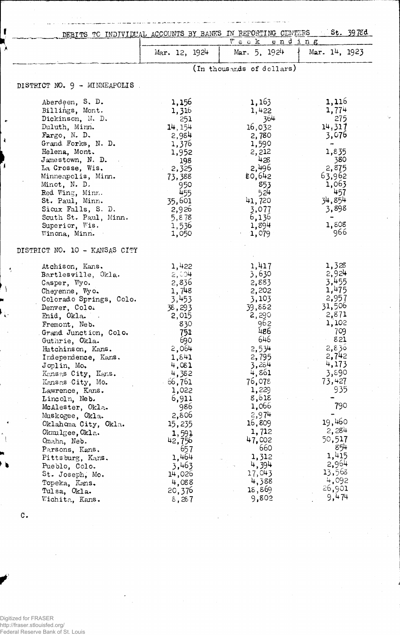|                                    | St. 3978d<br>DEBITS TO INDIVIDUAL ACCOUNTS BY BANKS IN REPORTING CENTERS<br>Week ending |                             |                 |  |
|------------------------------------|-----------------------------------------------------------------------------------------|-----------------------------|-----------------|--|
|                                    | Mar. 12, 1924                                                                           | Mar. $5, 192^{\frac{1}{4}}$ | Mar. $14, 1923$ |  |
|                                    |                                                                                         | (In thousands of dollars)   |                 |  |
| DISTRICT NO. 9 - MINNEAPOLIS.      |                                                                                         |                             |                 |  |
| Aberdeen, S. D.                    | 1,156                                                                                   | 1,163                       | 1,116           |  |
| Billings, Mont.                    | 1,316                                                                                   | 1,422                       | 1,774           |  |
| Dickinson, N. D.                   | 251                                                                                     | 364                         | 275             |  |
| Duluth, Minn.                      | 14, 154                                                                                 | 16,032                      | 14,317          |  |
| Fargo, N. D.                       | 2,984                                                                                   | 2,780                       | 3,076           |  |
| Grand Forks, N. D.                 | 1,376                                                                                   | 1,590                       | ÷               |  |
| Helena, Mont.                      | 1,952                                                                                   | 2,212                       | 1,835           |  |
| Jamestown, N.D.                    | 198                                                                                     | 428                         | 380             |  |
| La Crosse, Wis.                    | 2,325                                                                                   | 2,496                       | 2,875           |  |
| Minneapolis, Minn.                 | 73,388                                                                                  | 80,642                      | 63,962          |  |
| Minot, N. D.                       | 950                                                                                     | 853                         | 1,063           |  |
| Red Wing, Minn.                    | 455                                                                                     | 524                         | 457             |  |
| St. Paul, Minn.                    | 35,601                                                                                  | 41,720                      | 34,854          |  |
| Sicux Falls, S. D.                 | 2,926                                                                                   | 3,077                       | 3,898           |  |
| South St. Paul, Minn.              | 5,878                                                                                   | 6,136                       | 1,808           |  |
| Superior, Wis.<br>Winona, Minn.    | 1,536                                                                                   | 1,894                       | 966             |  |
|                                    | 1,050                                                                                   | 1,079                       |                 |  |
| DISTRICT NO. 10 - KANSAS CITY      |                                                                                         |                             |                 |  |
| Atchison, Kans.                    | 1,422                                                                                   | 1,417                       | 1,328           |  |
| Bartlesville, Okla.                | 2,004                                                                                   | 3,630                       | 2,924           |  |
| Casper, Wyo.                       | 2,836                                                                                   | 2,883                       | 3,455           |  |
| Cheyenne, Wyo.                     | 1,748                                                                                   | 2,202                       | 1,475           |  |
| Colorado Springs, Colo.            | 3,453                                                                                   | 3,103                       | 2,957<br>31,506 |  |
| Denver, Colo.                      | 38,293                                                                                  | 39,882                      |                 |  |
| Enid, Okla.<br>$\sim 10^7$         | 2,015                                                                                   | 2,290                       | 2,871<br>1,102  |  |
| Fremont, Neb.                      | 830                                                                                     | 962<br>486                  | 709             |  |
| Grand Junction, Colo.              | 751<br>690                                                                              | 646                         | 821             |  |
| Guthrie, Okla.                     | 2,064                                                                                   |                             | 2,836           |  |
| Hutchinson, Kans.                  | 1,841                                                                                   | 2,534<br>2,795              | 2,742           |  |
| Independence, Kans.<br>Joplin, Mo. | 4,081                                                                                   | 3,284                       | 4,173           |  |
| Kansas City, Kans.                 | 4,382                                                                                   | 4,861                       | 3,890           |  |
| Kansas City, Mo.                   | 66,761                                                                                  | 76,078                      | 73,427          |  |
| Lawrence, Kans.                    | 1,022                                                                                   | 1,229                       | 935             |  |
| Lincoln, Neb.                      | 6,911                                                                                   | 8,618                       |                 |  |
| McAlester, Okla.                   | 986                                                                                     | 1,066                       | 790             |  |
| Muskogee, Okla.                    | 2,806                                                                                   | 2,974                       |                 |  |
| Oklahoma City, Okla.               | 15,235                                                                                  | 16,809                      | 19,460          |  |
| Okmulgee, Okla.                    | 1,591                                                                                   | 1,712                       | 2,284           |  |
| Omaha, Neb.                        | 42,756                                                                                  | 47,002                      | 50,517          |  |
| Parsons, Kans.                     | 657                                                                                     | 660                         | 854             |  |
| Pittsburg, Kans.                   | 1,464                                                                                   | 1,312                       | 1,415           |  |
| Pueblo, Colo.                      | 3,463                                                                                   | 4,394                       | 2,964           |  |
| St. Joseph, Mo.                    | 14,026                                                                                  | 17,043                      | 13,568          |  |
| Topeka, Kans.                      | 4,088                                                                                   | 4,388                       | 4,092           |  |
| Tulsa, Okla.                       | 20,376                                                                                  | 18,869                      | 26,901          |  |
|                                    | 8,287                                                                                   | 9,802                       | 9,474           |  |

 $\mathbf{C}$  .

 $\mathbf{f}$ 

¥

Ã

 $\left\{ \right\}$ 

Digitized for FRASER http://fraser.stlouisfed.org/ Federal Reserve Bank of St. Louis  $\ddot{\phantom{0}}$